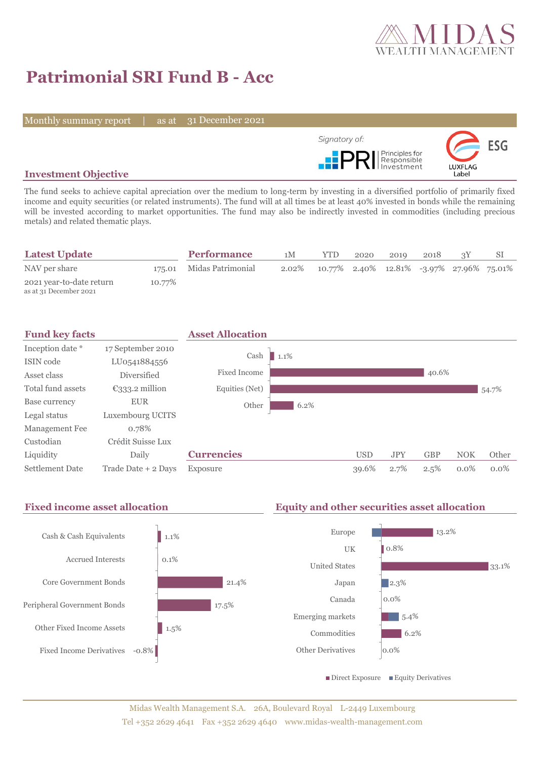

# **Patrimonial SRI Fund B - Acc**

Monthly summary report | as at 31 December 2021



## **Investment Objective**

The fund seeks to achieve capital apreciation over the medium to long-term by investing in a diversified portfolio of primarily fixed income and equity securities (or related instruments). The fund will at all times be at least 40% invested in bonds while the remaining will be invested according to market opportunities. The fund may also be indirectly invested in commodities (including precious metals) and related thematic plays.

| <b>Latest Update</b>                               |        | <b>Performance</b>       | 1M | YTD.                                                  | 2020 | 2019 | 2018 |  |
|----------------------------------------------------|--------|--------------------------|----|-------------------------------------------------------|------|------|------|--|
| NAV per share                                      |        | 175.01 Midas Patrimonial |    | 2.02\% 10.77\% 2.40\% 12.81\% -3.97\% 27.96\% 75.01\% |      |      |      |  |
| 2021 year-to-date return<br>as at 31 December 2021 | 10.77% |                          |    |                                                       |      |      |      |  |



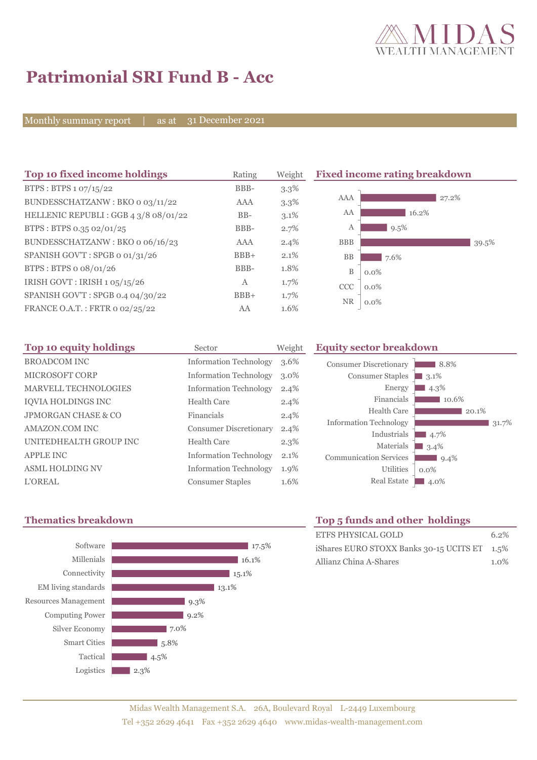

8.8% 3.1<sup>%</sup>  $\blacksquare$  4.3%

10.6%

 $\blacksquare$  4.7%  $3.4\%$  $9.4%$ 

0.0%

 $20.1\%$ 

 $31.7%$ 

# **Patrimonial SRI Fund B - Acc**

Monthly summary report | as at 31 December 2021

| Top 10 fixed income holdings         | Rating | Weight  | <b>Fixed income rating breakdown</b> |       |  |
|--------------------------------------|--------|---------|--------------------------------------|-------|--|
| BTPS: BTPS 1 07/15/22                | BBB-   | $3.3\%$ |                                      |       |  |
| BUNDESSCHATZANW: BKO o 03/11/22      | AAA    | $3.3\%$ | AAA                                  | 27.2% |  |
| HELLENIC REPUBLI: GGB 4 3/8 08/01/22 | $BB-$  | $3.1\%$ | AA<br>16.2%                          |       |  |
| BTPS: BTPS 0.35 02/01/25             | BBB-   | 2.7%    | 9.5%<br>А                            |       |  |
| BUNDESSCHATZANW: BKO 0 06/16/23      | AAA    | 2.4%    | <b>BBB</b>                           | 39.5% |  |
| SPANISH GOV'T: SPGB o 01/31/26       | $BBB+$ | 2.1%    | BB<br>7.6%                           |       |  |
| BTPS: BTPS o 08/01/26                | BBB-   | 1.8%    | $\mathbf B$<br>$0.0\%$               |       |  |
| IRISH GOVT : IRISH 1 05/15/26        | A      | 1.7%    | CCC<br>$0.0\%$                       |       |  |
| SPANISH GOV'T: SPGB 0.4 04/30/22     | $BBB+$ | 1.7%    |                                      |       |  |
| FRANCE O.A.T.: FRTR 0 02/25/22       | AA     | 1.6%    | <b>NR</b><br>$0.0\%$                 |       |  |

| Top 10 equity holdings         | Sector                        | Weight  |
|--------------------------------|-------------------------------|---------|
| <b>BROADCOM INC</b>            | <b>Information Technology</b> | 3.6%    |
| MICROSOFT CORP                 | <b>Information Technology</b> | $3.0\%$ |
| <b>MARVELL TECHNOLOGIES</b>    | <b>Information Technology</b> | 2.4%    |
| IQVIA HOLDINGS INC             | Health Care                   | 2.4%    |
| <b>JPMORGAN CHASE &amp; CO</b> | Financials                    | 2.4%    |
| AMAZON.COM INC                 | <b>Consumer Discretionary</b> | 2.4%    |
| UNITEDHEALTH GROUP INC         | Health Care                   | $2.3\%$ |
| <b>APPLE INC</b>               | <b>Information Technology</b> | 2.1%    |
| <b>ASML HOLDING NV</b>         | <b>Information Technology</b> | 1.9%    |
| <b>L'OREAL</b>                 | <b>Consumer Staples</b>       | 1.6%    |

# **Thematics breakdown Top 5 funds and other holdings**



Utilities

Energy Financials Health Care

Industrials Materials

**Equity sector breakdown** 

Consumer Discretionary Consumer Staples

Information Technology

Communication Services

| <b>TOP 3 IGHUS ARE OTHER HORIHISS</b>        |         |
|----------------------------------------------|---------|
| ETFS PHYSICAL GOLD                           | $6.2\%$ |
| iShares EURO STOXX Banks 30-15 UCITS ET 1.5% |         |
| Allianz China A-Shares                       | $1.0\%$ |

Real Estate 4.0%